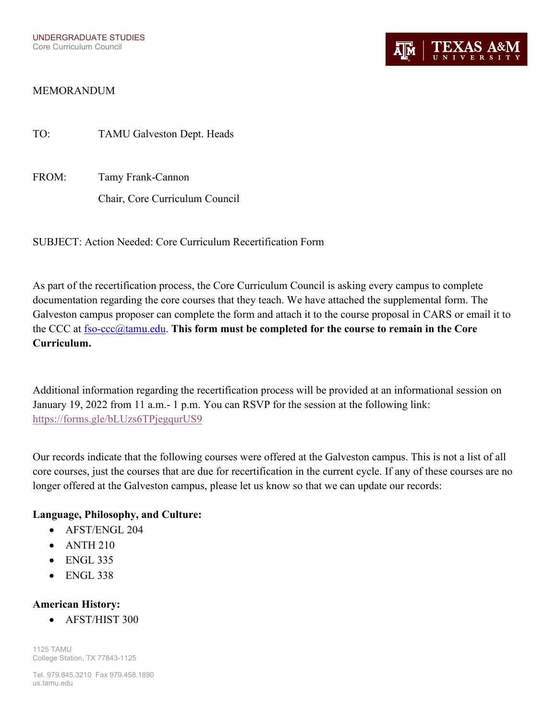## MEMORANDUM

TO: TAMU Galveston Dept. Heads

FROM: Tamy Frank-Cannon Chair, Core Curriculum Council

SUBJECT: Action Needed: Core Curriculum Recertification Form

As part of the recertification process, the Core Curriculum Council is asking every campus to complete documentation regarding the core courses that they teach. We have attached the supplemental form. The Galveston campus proposer can complete the form and attach it to the course proposal in CARS or email it to the CCC at [fso-ccc@tamu.edu.](mailto:fso-ccc@tamu.edu) **This form must be completed for the course to remain in the Core Curriculum.** 

Additional information regarding the recertification process will be provided at an informational session on January 19, 2022 from 11 a.m.- 1 p.m. You can RSVP for the session at the following link: <https://forms.gle/bLUzs6TPjegqurUS9>

Our records indicate that the following courses were offered at the Galveston campus. This is not a list of all core courses, just the courses that are due for recertification in the current cycle. If any of these courses are no longer offered at the Galveston campus, please let us know so that we can update our records:

### **Language, Philosophy, and Culture:**

- AFST/ENGL 204
- $\bullet$  ANTH 210
- ENGL 335
- ENGL 338

### **American History:**

• AFST/HIST 300

1125 TAMU College Station, TX 77843-1125

Tel. 979.845.3210 Fax 979.458.1890 us.tamu.edu